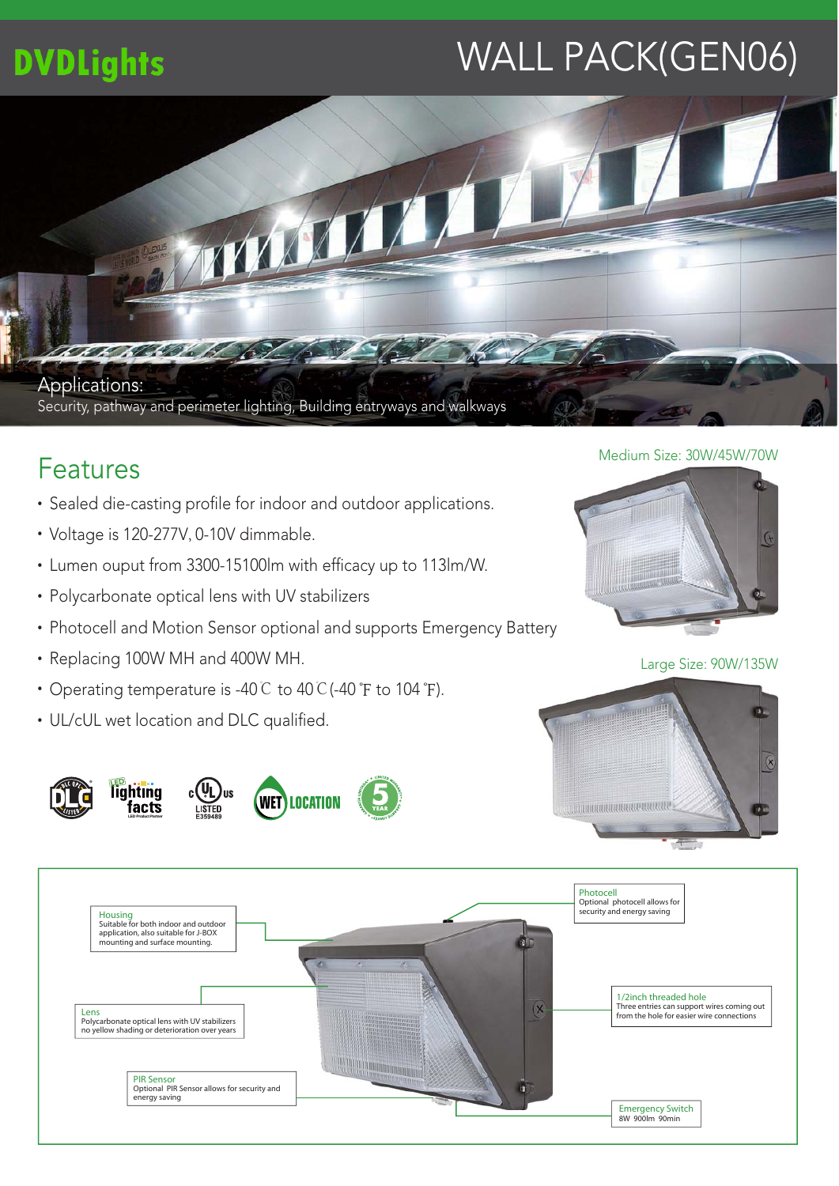## **DVDLights**

# WALL PACK(GEN06)



### Features

- Sealed die-casting profile for indoor and outdoor applications.
- Voltage is 120-277V, 0-10V dimmable.
- Lumen ouput from 3300-15100lm with efficacy up to 113lm/W.
- Polycarbonate optical lens with UV stabilizers
- Photocell and Motion Sensor optional and supports Emergency Battery
- Replacing 100W MH and 400W MH.
- Operating temperature is -40℃ to 40℃(-40°F to 104°F).
- UL/cUL wet location and DLC qualified.

**LED Product Partner**











Large Size: 90W/135W